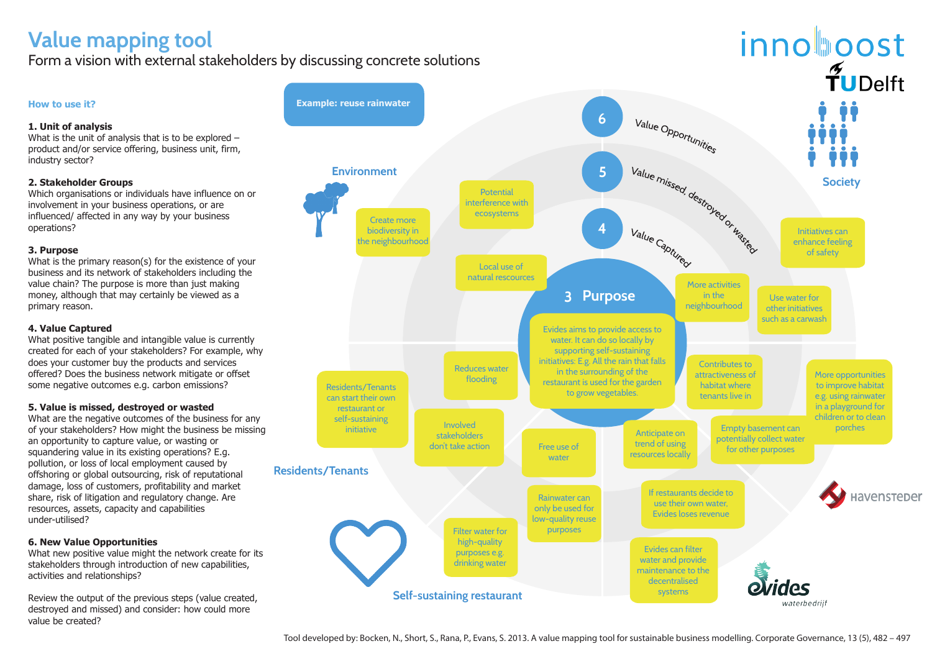# **Value mapping tool**

Form a vision with external stakeholders by discussing concrete solutions

**How to use it?**

### **1. Unit of analysis**

What is the unit of analysis that is to be explored – product and/or service offering, business unit, firm, industry sector?

### **2. Stakeholder Groups**

Which organisations or individuals have influence on or involvement in your business operations, or are influenced/ affected in any way by your business operations?

#### **3. Purpose**

What positive tangible and intangible value is currently created for each of your stakeholders? For example, why does your customer buy the products and services offered? Does the business network mitigate or offset some negative outcomes e.g. carbon emissions?

What is the primary reason(s) for the existence of your business and its network of stakeholders including the value chain? The purpose is more than just making money, although that may certainly be viewed as a primary reason.

#### **4. Value Captured**

#### **5. Value is missed, destroyed or wasted**

What are the negative outcomes of the business for any of your stakeholders? How might the business be missing an opportunity to capture value, or wasting or squandering value in its existing operations? E.g. pollution, or loss of local employment caused by offshoring or global outsourcing, risk of reputational damage, loss of customers, profitability and market share, risk of litigation and regulatory change. Are resources, assets, capacity and capabilities under-utilised?

#### **6. New Value Opportunities**

What new positive value might the network create for its stakeholders through introduction of new capabilities, activities and relationships?

Review the output of the previous steps (value created, destroyed and missed) and consider: how could more value be created?

#### **Example: reuse rainwater** Value Opportunities **6** Value missed, destroyed or wasted **Environment 5 Potential** interference with ecosystems Create more Value Captured **4** biodiversity in the neighbourhood Local use of natural rescources **3 Purpose** Evides aims to provide access to water. It can do so locally by supporting self-sustaining initiatives: E.g. All the rain that falls Reduces water in the surrounding of the flooding Residents/Tenants restaurant is used for the garden to grow vegetables. can start their own restaurant or self-sustaining initiative **Involved**<br>initiative intervention Anticipate on stakeholders trend of using don't take action Free use of resources locally water **Residents/Tenants**  If restaurants decide to Rainwater can use their own water, only be used for Evides loses revenue low-quality reuse Filter water for **purposes** high-quality Evides can filter purposes e.g. water and provide drinking water maintenance to the decentralised systems **Self-sustaining restaurant**



waterbedrijf

Tool developed by: Bocken, N., Short, S., Rana, P., Evans, S. 2013. A value mapping tool for sustainable business modelling. Corporate Governance, 13 (5), 482 – 497